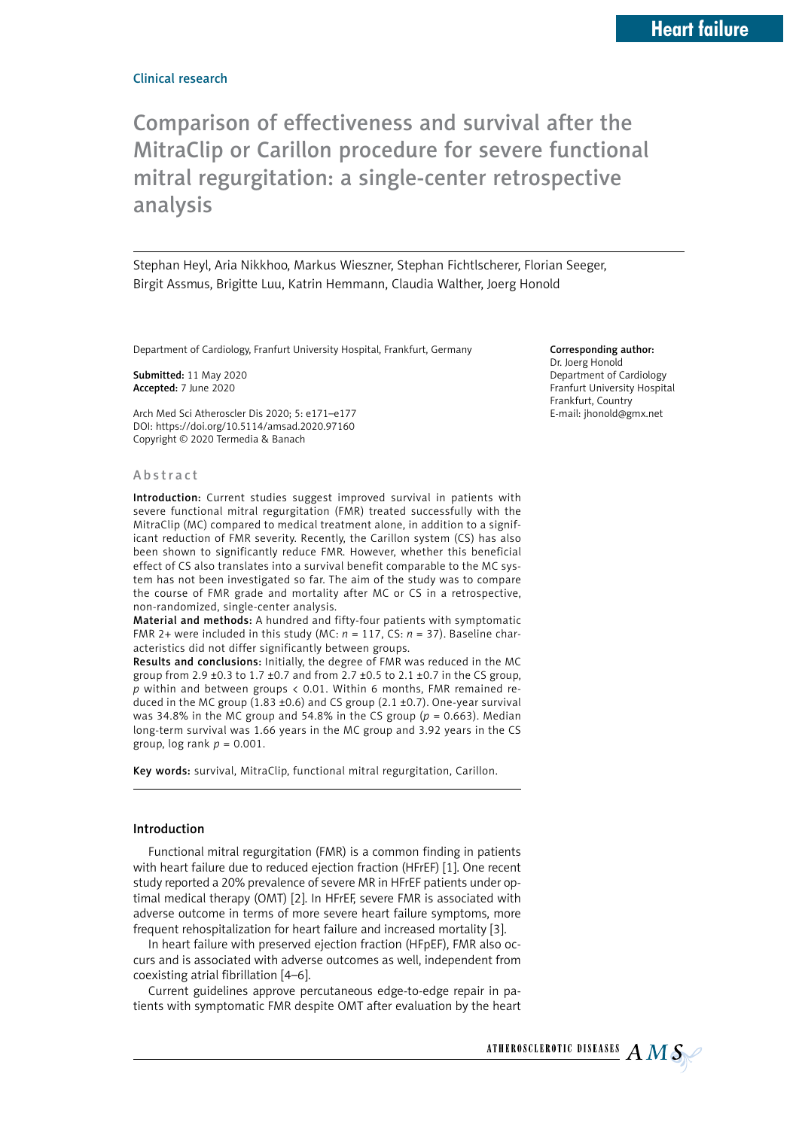Comparison of effectiveness and survival after the MitraClip or Carillon procedure for severe functional mitral regurgitation: a single-center retrospective analysis

Stephan Heyl, Aria Nikkhoo, Markus Wieszner, Stephan Fichtlscherer, Florian Seeger, Birgit Assmus, Brigitte Luu, Katrin Hemmann, Claudia Walther, Joerg Honold

Department of Cardiology, Franfurt University Hospital, Frankfurt, Germany

Submitted: 11 May 2020 Accepted: 7 June 2020

Arch Med Sci Atheroscler Dis 2020; 5: e171–e177 DOI: https://doi.org/10.5114/amsad.2020.97160 Copyright © 2020 Termedia & Banach

#### Abstract

Introduction: Current studies suggest improved survival in patients with severe functional mitral regurgitation (FMR) treated successfully with the MitraClip (MC) compared to medical treatment alone, in addition to a significant reduction of FMR severity. Recently, the Carillon system (CS) has also been shown to significantly reduce FMR. However, whether this beneficial effect of CS also translates into a survival benefit comparable to the MC system has not been investigated so far. The aim of the study was to compare the course of FMR grade and mortality after MC or CS in a retrospective, non-randomized, single-center analysis.

Material and methods: A hundred and fifty-four patients with symptomatic FMR 2+ were included in this study (MC: *n* = 117, CS: *n* = 37). Baseline characteristics did not differ significantly between groups.

Results and conclusions: Initially, the degree of FMR was reduced in the MC group from 2.9 ±0.3 to 1.7 ±0.7 and from 2.7 ±0.5 to 2.1 ±0.7 in the CS group, *p* within and between groups < 0.01. Within 6 months, FMR remained reduced in the MC group (1.83 ±0.6) and CS group (2.1 ±0.7). One-year survival was 34.8% in the MC group and 54.8% in the CS group (*p* = 0.663). Median long-term survival was 1.66 years in the MC group and 3.92 years in the CS group, log rank *p* = 0.001.

Key words: survival, MitraClip, functional mitral regurgitation, Carillon.

## Introduction

Functional mitral regurgitation (FMR) is a common finding in patients with heart failure due to reduced ejection fraction (HFrEF) [1]. One recent study reported a 20% prevalence of severe MR in HFrEF patients under optimal medical therapy (OMT) [2]. In HFrEF, severe FMR is associated with adverse outcome in terms of more severe heart failure symptoms, more frequent rehospitalization for heart failure and increased mortality [3].

In heart failure with preserved ejection fraction (HFpEF), FMR also occurs and is associated with adverse outcomes as well, independent from coexisting atrial fibrillation [4–6].

Current guidelines approve percutaneous edge-to-edge repair in patients with symptomatic FMR despite OMT after evaluation by the heart

### Corresponding author:

Dr. Joerg Honold Department of Cardiology Franfurt University Hospital Frankfurt, Country E-mail: [jhonold@gmx.net](mailto:jhonold@gmx.net)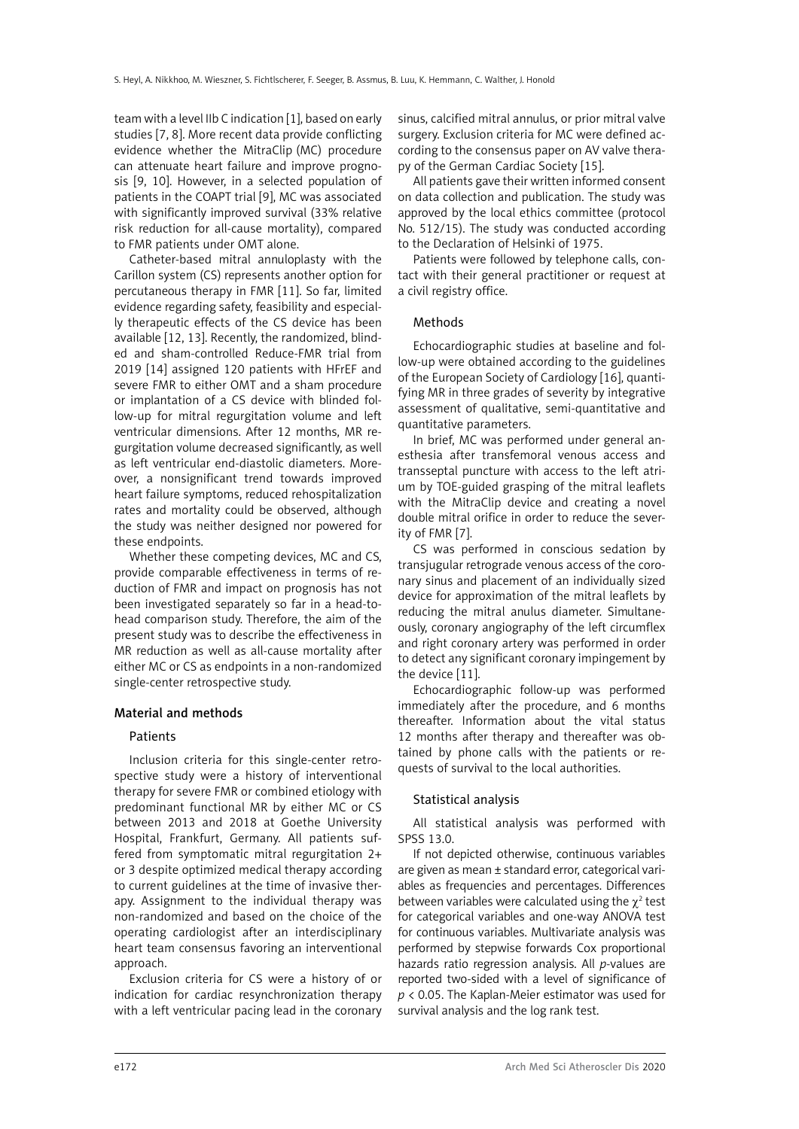team with a level IIb C indication [1], based on early studies [7, 8]. More recent data provide conflicting evidence whether the MitraClip (MC) procedure can attenuate heart failure and improve prognosis [9, 10]. However, in a selected population of patients in the COAPT trial [9], MC was associated with significantly improved survival (33% relative risk reduction for all-cause mortality), compared to FMR patients under OMT alone.

Catheter-based mitral annuloplasty with the Carillon system (CS) represents another option for percutaneous therapy in FMR [11]. So far, limited evidence regarding safety, feasibility and especially therapeutic effects of the CS device has been available [12, 13]. Recently, the randomized, blinded and sham-controlled Reduce-FMR trial from 2019 [14] assigned 120 patients with HFrEF and severe FMR to either OMT and a sham procedure or implantation of a CS device with blinded follow-up for mitral regurgitation volume and left ventricular dimensions. After 12 months, MR regurgitation volume decreased significantly, as well as left ventricular end-diastolic diameters. Moreover, a nonsignificant trend towards improved heart failure symptoms, reduced rehospitalization rates and mortality could be observed, although the study was neither designed nor powered for these endpoints.

Whether these competing devices, MC and CS, provide comparable effectiveness in terms of reduction of FMR and impact on prognosis has not been investigated separately so far in a head-tohead comparison study. Therefore, the aim of the present study was to describe the effectiveness in MR reduction as well as all-cause mortality after either MC or CS as endpoints in a non-randomized single-center retrospective study.

## Material and methods

## **Patients**

Inclusion criteria for this single-center retrospective study were a history of interventional therapy for severe FMR or combined etiology with predominant functional MR by either MC or CS between 2013 and 2018 at Goethe University Hospital, Frankfurt, Germany. All patients suffered from symptomatic mitral regurgitation 2+ or 3 despite optimized medical therapy according to current guidelines at the time of invasive therapy. Assignment to the individual therapy was non-randomized and based on the choice of the operating cardiologist after an interdisciplinary heart team consensus favoring an interventional approach.

Exclusion criteria for CS were a history of or indication for cardiac resynchronization therapy with a left ventricular pacing lead in the coronary sinus, calcified mitral annulus, or prior mitral valve surgery. Exclusion criteria for MC were defined according to the consensus paper on AV valve therapy of the German Cardiac Society [15].

All patients gave their written informed consent on data collection and publication. The study was approved by the local ethics committee (protocol No. 512/15). The study was conducted according to the Declaration of Helsinki of 1975.

Patients were followed by telephone calls, contact with their general practitioner or request at a civil registry office.

## Methods

Echocardiographic studies at baseline and follow-up were obtained according to the guidelines of the European Society of Cardiology [16], quantifying MR in three grades of severity by integrative assessment of qualitative, semi-quantitative and quantitative parameters.

In brief, MC was performed under general anesthesia after transfemoral venous access and transseptal puncture with access to the left atrium by TOE-guided grasping of the mitral leaflets with the MitraClip device and creating a novel double mitral orifice in order to reduce the severity of FMR [7].

CS was performed in conscious sedation by transjugular retrograde venous access of the coronary sinus and placement of an individually sized device for approximation of the mitral leaflets by reducing the mitral anulus diameter. Simultaneously, coronary angiography of the left circumflex and right coronary artery was performed in order to detect any significant coronary impingement by the device [11].

Echocardiographic follow-up was performed immediately after the procedure, and 6 months thereafter. Information about the vital status 12 months after therapy and thereafter was obtained by phone calls with the patients or requests of survival to the local authorities.

## Statistical analysis

All statistical analysis was performed with SPSS 13.0.

If not depicted otherwise, continuous variables are given as mean ± standard error, categorical variables as frequencies and percentages. Differences between variables were calculated using the  $\chi^2$  test for categorical variables and one-way ANOVA test for continuous variables. Multivariate analysis was performed by stepwise forwards Cox proportional hazards ratio regression analysis. All *p*-values are reported two-sided with a level of significance of *p* < 0.05. The Kaplan-Meier estimator was used for survival analysis and the log rank test.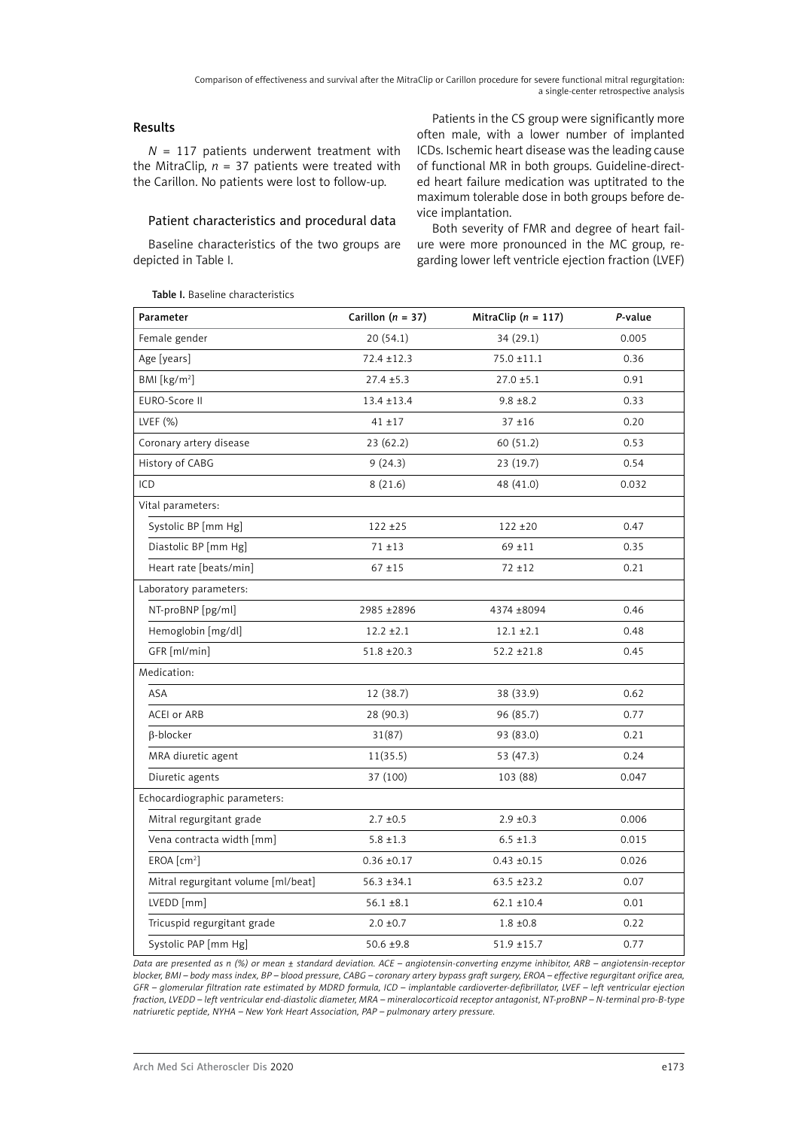Comparison of effectiveness and survival after the MitraClip or Carillon procedure for severe functional mitral regurgitation: a single-center retrospective analysis

# Results

*N* = 117 patients underwent treatment with the MitraClip,  $n = 37$  patients were treated with the Carillon. No patients were lost to follow-up.

## Patient characteristics and procedural data

Baseline characteristics of the two groups are depicted in Table I.

Patients in the CS group were significantly more often male, with a lower number of implanted ICDs. Ischemic heart disease was the leading cause of functional MR in both groups. Guideline-directed heart failure medication was uptitrated to the maximum tolerable dose in both groups before device implantation.

Both severity of FMR and degree of heart failure were more pronounced in the MC group, regarding lower left ventricle ejection fraction (LVEF)

| Parameter                           | Carillon ( $n = 37$ ) | MitraClip ( $n = 117$ ) | P-value |
|-------------------------------------|-----------------------|-------------------------|---------|
| Female gender                       | 20 (54.1)             | 34 (29.1)               | 0.005   |
| Age [years]                         | $72.4 \pm 12.3$       | $75.0 \pm 11.1$         | 0.36    |
| BMI [kg/m <sup>2</sup> ]            | $27.4 \pm 5.3$        | $27.0 \pm 5.1$          | 0.91    |
| EURO-Score II                       | $13.4 \pm 13.4$       | $9.8 \pm 8.2$           | 0.33    |
| LVEF $(%)$                          | $41 + 17$             | $37 + 16$               | 0.20    |
| Coronary artery disease             | 23 (62.2)             | 60 (51.2)               | 0.53    |
| History of CABG                     | 9(24.3)               | 23 (19.7)               | 0.54    |
| ICD                                 | 8(21.6)               | 48 (41.0)               | 0.032   |
| Vital parameters:                   |                       |                         |         |
| Systolic BP [mm Hg]                 | $122 + 25$            | $122 + 20$              | 0.47    |
| Diastolic BP [mm Hg]                | $71 + 13$             | $69 + 11$               | 0.35    |
| Heart rate [beats/min]              | $67 + 15$             | $72 + 12$               | 0.21    |
| Laboratory parameters:              |                       |                         |         |
| NT-proBNP [pg/ml]                   | 2985 ±2896            | 4374 ±8094              | 0.46    |
| Hemoglobin [mg/dl]                  | $12.2 \pm 2.1$        | $12.1 \pm 2.1$          | 0.48    |
| GFR [ml/min]                        | $51.8 \pm 20.3$       | $52.2 \pm 21.8$         | 0.45    |
| Medication:                         |                       |                         |         |
| ASA                                 | 12 (38.7)             | 38 (33.9)               | 0.62    |
| ACEI or ARB                         | 28 (90.3)             | 96 (85.7)               | 0.77    |
| B-blocker                           | 31(87)                | 93 (83.0)               | 0.21    |
| MRA diuretic agent                  | 11(35.5)              | 53 (47.3)               | 0.24    |
| Diuretic agents                     | 37 (100)              | 103 (88)                | 0.047   |
| Echocardiographic parameters:       |                       |                         |         |
| Mitral regurgitant grade            | $2.7 \pm 0.5$         | $2.9 \pm 0.3$           | 0.006   |
| Vena contracta width [mm]           | $5.8 \pm 1.3$         | $6.5 \pm 1.3$           | 0.015   |
| EROA [cm <sup>2</sup> ]             | $0.36 \pm 0.17$       | $0.43 \pm 0.15$         | 0.026   |
| Mitral regurgitant volume [ml/beat] | $56.3 \pm 34.1$       | $63.5 + 23.2$           | 0.07    |
| LVEDD [mm]                          | $56.1 \pm 8.1$        | $62.1 \pm 10.4$         | 0.01    |
| Tricuspid regurgitant grade         | $2.0 \pm 0.7$         | $1.8 \pm 0.8$           | 0.22    |
| Systolic PAP [mm Hg]                | $50.6 \pm 9.8$        | $51.9 \pm 15.7$         | 0.77    |

*Data are presented as n (%) or mean ± standard deviation. ACE – angiotensin-converting enzyme inhibitor, ARB – angiotensin-receptor blocker, BMI – body mass index, BP – blood pressure, CABG – coronary artery bypass graft surgery, EROA – effective regurgitant orifice area, GFR – glomerular filtration rate estimated by MDRD formula, ICD – implantable cardioverter-defibrillator, LVEF – left ventricular ejection fraction, LVEDD – left ventricular end-diastolic diameter, MRA – mineralocorticoid receptor antagonist, NT-proBNP – N-terminal pro-B-type natriuretic peptide, NYHA – New York Heart Association, PAP – pulmonary artery pressure.*

Table I. Baseline characteristics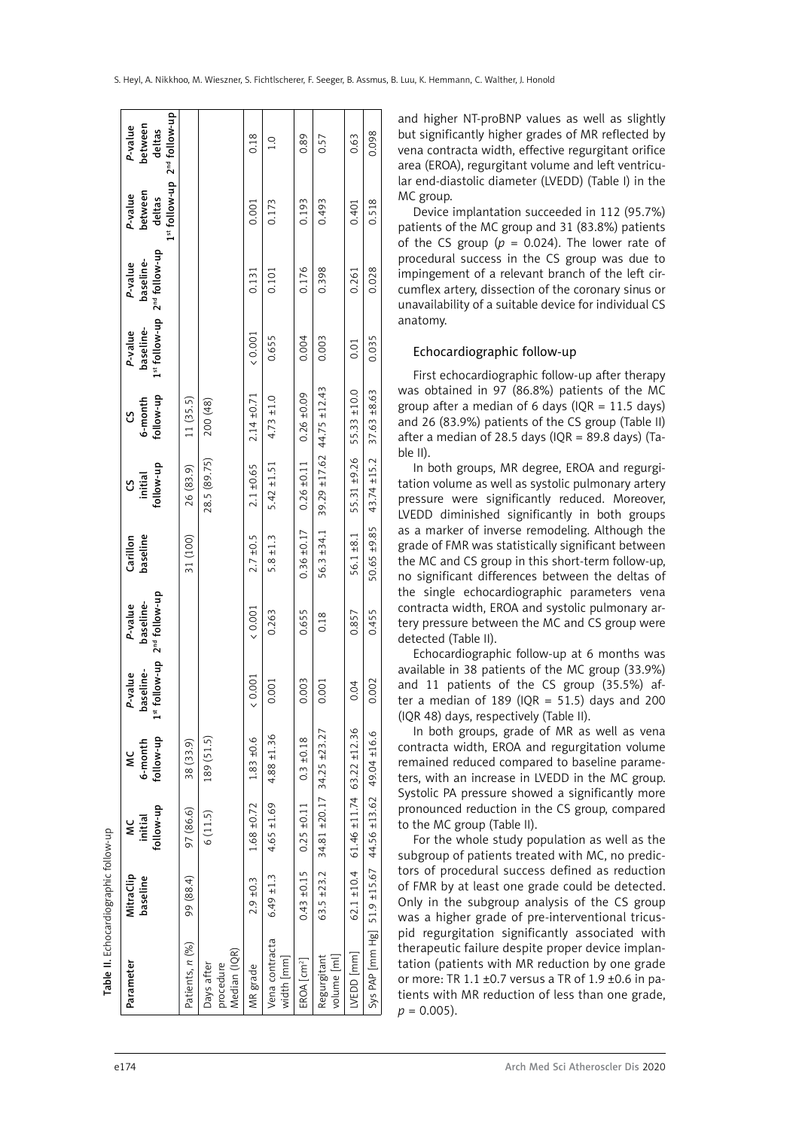| Table II. Echocardiographic follow-up                |                       |                                                     |                           |                                        |                                                             |                      |                                                    |                           |                                       |                                                   |                                                                         |                              |
|------------------------------------------------------|-----------------------|-----------------------------------------------------|---------------------------|----------------------------------------|-------------------------------------------------------------|----------------------|----------------------------------------------------|---------------------------|---------------------------------------|---------------------------------------------------|-------------------------------------------------------------------------|------------------------------|
| Parameter                                            | MitraClip<br>baseline | tollow-up<br>initial<br>≚                           | follow-up<br>6-month<br>ѯ | baseline-<br>P-value<br>$\frac{5}{15}$ | follow-up 2 <sup>nd</sup> follow-up<br>baseline-<br>P-value | baseline<br>Carillon | follow-up<br>initial<br>უ                          | follow-up<br>6-month<br>უ | 1st follow-up<br>baseline-<br>P-value | 2 <sup>nd</sup> follow-up<br>baseline-<br>P-value | 1st follow-up 2 <sup>nd</sup> follow-up<br>between<br>P-value<br>deltas | between<br>P-value<br>deltas |
| Patients, n (%)                                      | 99 (88.4)             | 97 (86.6)                                           | 38 (33.9)                 |                                        |                                                             | 31 (100)             | 26 (83.9)                                          | 11 (35.5)                 |                                       |                                                   |                                                                         |                              |
| Median (IQR)<br>Days after<br>procedure              |                       | 6(11.5)                                             | 189 (51.5)                |                                        |                                                             |                      | 28.5 (89.75)                                       | 200 (48)                  |                                       |                                                   |                                                                         |                              |
| MR grade                                             | $2.9 + 0.3$           | $1.68 + 0.72$                                       | $1.83 + 0.6$              | (0.001)                                | (0.001)                                                     | $2.7 \pm 0.5$        | $2.1 \pm 0.65$                                     | $2.14 \pm 0.71$           | (0.001)                               | 0.131                                             | 0.001                                                                   | 0.18                         |
| Vena contracta<br>width [mm]                         | $6.49 \pm 1.3$        | $4.65 \pm 1.69$                                     | $4.88 \pm 1.36$           | 0.001                                  | 0.263                                                       | $5.8 \pm 1.3$        | $5.42 \pm 1.51$                                    | $4.73 \pm 1.0$            | 0.655                                 | 0.101                                             | 0.173                                                                   | $\frac{0}{1}$                |
| EROA[cm <sup>2</sup> ]                               |                       | $0.43 \pm 0.15$ 0.25 $\pm 0.11$                     | $0.3 + 0.18$              | 0.003                                  | 0.655                                                       | $0.36 \pm 0.17$      | $0.26 \pm 0.11$                                    | $0.26 \pm 0.09$           | 0.004                                 | 0.176                                             | 0.193                                                                   | 0.89                         |
| Regurgitant<br>volume [ml]                           | $63.5 + 23.2$         | $34.81 \pm 20.17$ $34.25 \pm 23.27$                 |                           | 0.001                                  | 0.18                                                        | 56.3 ±34.1           | 39.29 ±17.62 44.75 ±12.43                          |                           | 0.003                                 | 0.398                                             | 0.493                                                                   | 0.57                         |
| VEDD [mm]                                            |                       | $62.1 \pm 10.4$ 61.46 $\pm 11.74$ 63.22 $\pm 12.36$ |                           | 0.04                                   | 0.857                                                       | $56.1 + 8.1$         | 55.31 ±9.26                                        | 55.33 ±10.0               | 0.01                                  | 0.261                                             | 0.401                                                                   | 0.63                         |
| Sys PAP [mm Hg] 51.9 ±15.67 44.56 ±13.62 49.04 ±16.6 |                       |                                                     |                           | 0.002                                  | 0.455                                                       |                      | $50.65 \pm 9.85$ 43.74 $\pm 15.2$ 37.63 $\pm 8.63$ |                           | 0.035                                 | 0.028                                             | 0.518                                                                   | 0.098                        |

and higher NT-proBNP values as well as slightly but significantly higher grades of MR reflected by vena contracta width, effective regurgitant orifice area (EROA), regurgitant volume and left ventricu lar end-diastolic diameter (LVEDD) (Table I) in the MC group.

Device implantation succeeded in 112 (95.7%) patients of the MC group and 31 (83.8%) patients of the CS group ( $p = 0.024$ ). The lower rate of procedural success in the CS group was due to impingement of a relevant branch of the left cir cumflex artery, dissection of the coronary sinus or unavailability of a suitable device for individual CS anatomy.

### Echocardiographic follow-up

First echocardiographic follow-up after therapy was obtained in 97 (86.8%) patients of the MC group after a median of 6 days (IOR  $= 11.5$  days) and 26 (83.9%) patients of the CS group (Table II) after a median of 28.5 days (IQR = 89.8 days) (Ta ble II).

In both groups, MR degree, EROA and regurgi tation volume as well as systolic pulmonary artery pressure were significantly reduced. Moreover, LVEDD diminished significantly in both groups as a marker of inverse remodeling. Although the grade of FMR was statistically significant between the MC and CS group in this short-term follow-up, no significant differences between the deltas of the single echocardiographic parameters vena contracta width, EROA and systolic pulmonary ar tery pressure between the MC and CS group were detected (Table II).

Echocardiographic follow-up at 6 months was available in 38 patients of the MC group (33.9%) and 11 patients of the CS group (35.5%) af ter a median of 189 (IQR = 51.5) days and 200 (IQR 48) days, respectively (Table II).

In both groups, grade of MR as well as vena contracta width, EROA and regurgitation volume remained reduced compared to baseline parame ters, with an increase in LVEDD in the MC group. Systolic PA pressure showed a significantly more pronounced reduction in the CS group, compared to the MC group (Table II).

For the whole study population as well as the subgroup of patients treated with MC, no predic tors of procedural success defined as reduction of FMR by at least one grade could be detected. Only in the subgroup analysis of the CS group was a higher grade of pre-interventional tricus pid regurgitation significantly associated with therapeutic failure despite proper device implan tation (patients with MR reduction by one grade or more: TR 1.1 ±0.7 versus a TR of 1.9 ±0.6 in patients with MR reduction of less than one grade,  $p = 0.005$ ).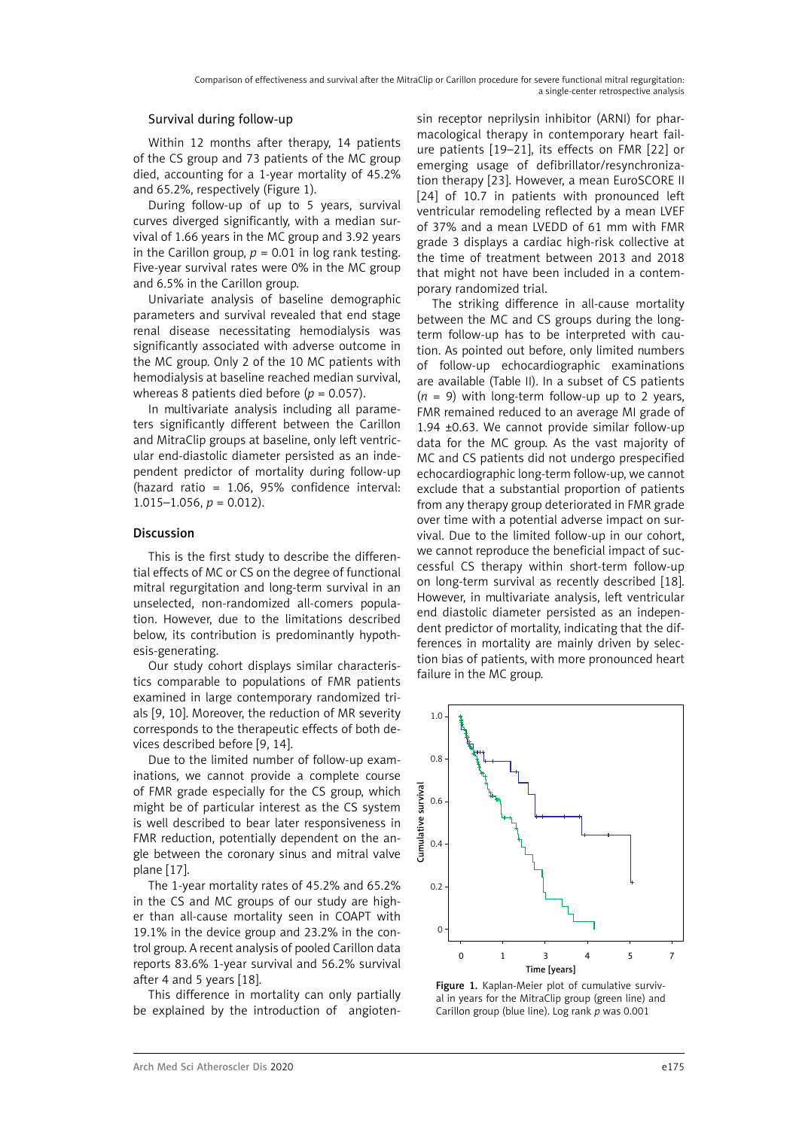## Survival during follow-up

Within 12 months after therapy, 14 patients of the CS group and 73 patients of the MC group died, accounting for a 1-year mortality of 45.2% and 65.2%, respectively (Figure 1).

During follow-up of up to 5 years, survival curves diverged significantly, with a median survival of 1.66 years in the MC group and 3.92 years in the Carillon group,  $p = 0.01$  in log rank testing. Five-year survival rates were 0% in the MC group and 6.5% in the Carillon group.

Univariate analysis of baseline demographic parameters and survival revealed that end stage renal disease necessitating hemodialysis was significantly associated with adverse outcome in the MC group. Only 2 of the 10 MC patients with hemodialysis at baseline reached median survival, whereas 8 patients died before ( $p = 0.057$ ).

In multivariate analysis including all parameters significantly different between the Carillon and MitraClip groups at baseline, only left ventricular end-diastolic diameter persisted as an independent predictor of mortality during follow-up (hazard ratio = 1.06, 95% confidence interval:  $1.015-1.056$ ,  $p = 0.012$ ).

## Discussion

This is the first study to describe the differential effects of MC or CS on the degree of functional mitral regurgitation and long-term survival in an unselected, non-randomized all-comers population. However, due to the limitations described below, its contribution is predominantly hypothesis-generating.

Our study cohort displays similar characteristics comparable to populations of FMR patients examined in large contemporary randomized trials [9, 10]. Moreover, the reduction of MR severity corresponds to the therapeutic effects of both devices described before [9, 14].

Due to the limited number of follow-up examinations, we cannot provide a complete course of FMR grade especially for the CS group, which might be of particular interest as the CS system is well described to bear later responsiveness in FMR reduction, potentially dependent on the angle between the coronary sinus and mitral valve plane [17].

The 1-year mortality rates of 45.2% and 65.2% in the CS and MC groups of our study are higher than all-cause mortality seen in COAPT with 19.1% in the device group and 23.2% in the control group. A recent analysis of pooled Carillon data reports 83.6% 1-year survival and 56.2% survival after 4 and 5 years [18].

This difference in mortality can only partially be explained by the introduction of angioten-

sin receptor neprilysin inhibitor (ARNI) for pharmacological therapy in contemporary heart failure patients [19–21], its effects on FMR [22] or emerging usage of defibrillator/resynchronization therapy [23]. However, a mean EuroSCORE II [24] of 10.7 in patients with pronounced left ventricular remodeling reflected by a mean LVEF of 37% and a mean LVEDD of 61 mm with FMR grade 3 displays a cardiac high-risk collective at the time of treatment between 2013 and 2018 that might not have been included in a contemporary randomized trial.

The striking difference in all-cause mortality between the MC and CS groups during the longterm follow-up has to be interpreted with caution. As pointed out before, only limited numbers of follow-up echocardiographic examinations are available (Table II). In a subset of CS patients  $(n = 9)$  with long-term follow-up up to 2 years, FMR remained reduced to an average MI grade of 1.94 ±0.63. We cannot provide similar follow-up data for the MC group. As the vast majority of MC and CS patients did not undergo prespecified echocardiographic long-term follow-up, we cannot exclude that a substantial proportion of patients from any therapy group deteriorated in FMR grade over time with a potential adverse impact on survival. Due to the limited follow-up in our cohort, we cannot reproduce the beneficial impact of successful CS therapy within short-term follow-up on long-term survival as recently described [18]. However, in multivariate analysis, left ventricular end diastolic diameter persisted as an independent predictor of mortality, indicating that the differences in mortality are mainly driven by selection bias of patients, with more pronounced heart failure in the MC group.



Figure 1. Kaplan-Meier plot of cumulative survival in years for the MitraClip group (green line) and Carillon group (blue line). Log rank *p* was 0.001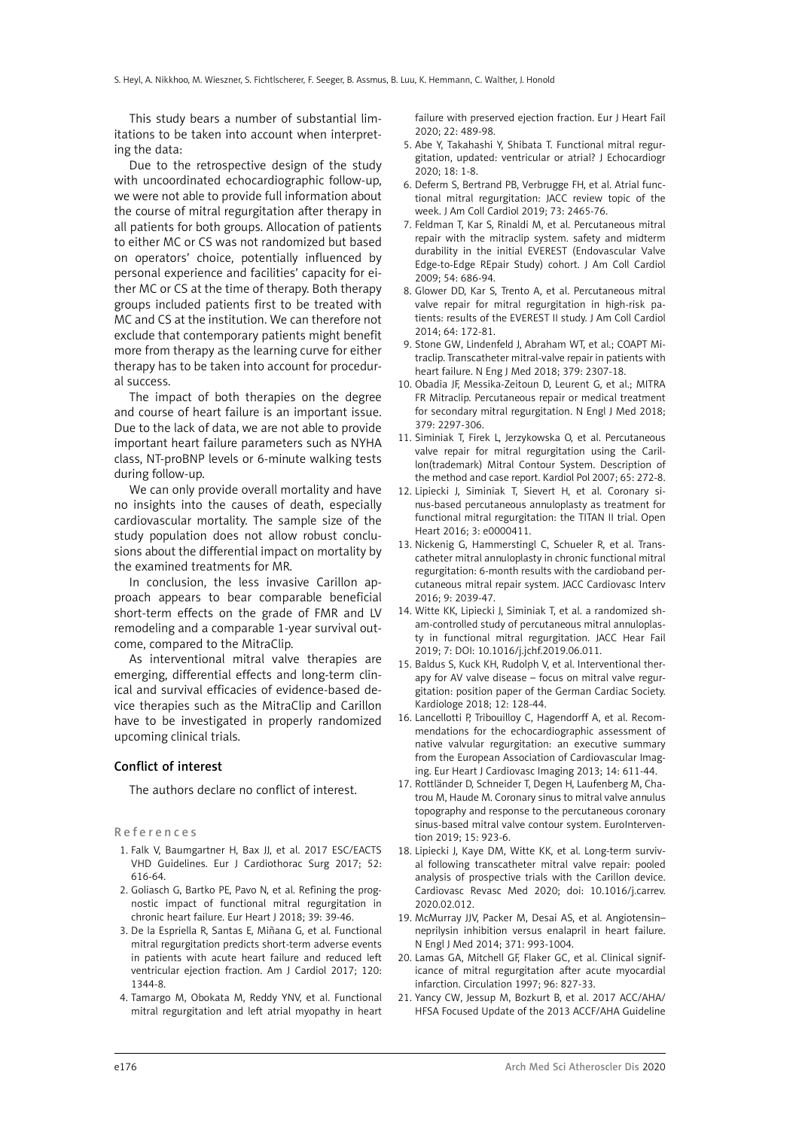This study bears a number of substantial limitations to be taken into account when interpreting the data:

Due to the retrospective design of the study with uncoordinated echocardiographic follow-up, we were not able to provide full information about the course of mitral regurgitation after therapy in all patients for both groups. Allocation of patients to either MC or CS was not randomized but based on operators' choice, potentially influenced by personal experience and facilities' capacity for either MC or CS at the time of therapy. Both therapy groups included patients first to be treated with MC and CS at the institution. We can therefore not exclude that contemporary patients might benefit more from therapy as the learning curve for either therapy has to be taken into account for procedural success.

The impact of both therapies on the degree and course of heart failure is an important issue. Due to the lack of data, we are not able to provide important heart failure parameters such as NYHA class, NT-proBNP levels or 6-minute walking tests during follow-up.

We can only provide overall mortality and have no insights into the causes of death, especially cardiovascular mortality. The sample size of the study population does not allow robust conclusions about the differential impact on mortality by the examined treatments for MR.

In conclusion, the less invasive Carillon approach appears to bear comparable beneficial short-term effects on the grade of FMR and LV remodeling and a comparable 1-year survival outcome, compared to the MitraClip.

As interventional mitral valve therapies are emerging, differential effects and long-term clinical and survival efficacies of evidence-based device therapies such as the MitraClip and Carillon have to be investigated in properly randomized upcoming clinical trials.

### Conflict of interest

The authors declare no conflict of interest.

References

- 1. Falk V, Baumgartner H, Bax JJ, et al. 2017 ESC/EACTS VHD Guidelines. Eur J Cardiothorac Surg 2017; 52: 616-64.
- 2. Goliasch G, Bartko PE, Pavo N, et al. Refining the prognostic impact of functional mitral regurgitation in chronic heart failure. Eur Heart J 2018; 39: 39-46.
- 3. De la Espriella R, Santas E, Miñana G, et al. Functional mitral regurgitation predicts short-term adverse events in patients with acute heart failure and reduced left ventricular ejection fraction. Am J Cardiol 2017; 120: 1344-8.
- 4. Tamargo M, Obokata M, Reddy YNV, et al. Functional mitral regurgitation and left atrial myopathy in heart

failure with preserved ejection fraction. Eur J Heart Fail 2020; 22: 489-98.

- 5. Abe Y, Takahashi Y, Shibata T. Functional mitral regurgitation, updated: ventricular or atrial? J Echocardiogr 2020; 18: 1-8.
- 6. Deferm S, Bertrand PB, Verbrugge FH, et al. Atrial functional mitral regurgitation: JACC review topic of the week. J Am Coll Cardiol 2019; 73: 2465-76.
- 7. Feldman T, Kar S, Rinaldi M, et al. Percutaneous mitral repair with the mitraclip system. safety and midterm durability in the initial EVEREST (Endovascular Valve Edge-to-Edge REpair Study) cohort. J Am Coll Cardiol 2009; 54: 686-94.
- 8. Glower DD, Kar S, Trento A, et al. Percutaneous mitral valve repair for mitral regurgitation in high-risk patients: results of the EVEREST II study. J Am Coll Cardiol 2014; 64: 172-81.
- 9. Stone GW, Lindenfeld J, Abraham WT, et al.; COAPT Mitraclip. Transcatheter mitral-valve repair in patients with heart failure. N Eng J Med 2018; 379: 2307-18.
- 10. Obadia JF, Messika-Zeitoun D, Leurent G, et al.; MITRA FR Mitraclip. Percutaneous repair or medical treatment for secondary mitral regurgitation. N Engl J Med 2018; 379: 2297-306.
- 11. Siminiak T, Firek L, Jerzykowska O, et al. Percutaneous valve repair for mitral regurgitation using the Carillon(trademark) Mitral Contour System. Description of the method and case report. Kardiol Pol 2007; 65: 272-8.
- 12. Lipiecki J, Siminiak T, Sievert H, et al. Coronary sinus-based percutaneous annuloplasty as treatment for functional mitral regurgitation: the TITAN II trial. Open Heart 2016; 3: e0000411.
- 13. Nickenig G, Hammerstingl C, Schueler R, et al. Transcatheter mitral annuloplasty in chronic functional mitral regurgitation: 6-month results with the cardioband percutaneous mitral repair system. JACC Cardiovasc Interv 2016; 9: 2039-47.
- 14. Witte KK, Lipiecki J, Siminiak T, et al. a randomized sham-controlled study of percutaneous mitral annuloplasty in functional mitral regurgitation. JACC Hear Fail 2019; 7: DOI: 10.1016/j.jchf.2019.06.011.
- 15. Baldus S, Kuck KH, Rudolph V, et al. Interventional therapy for AV valve disease – focus on mitral valve regurgitation: position paper of the German Cardiac Society. Kardiologe 2018; 12: 128-44.
- 16. Lancellotti P, Tribouilloy C, Hagendorff A, et al. Recommendations for the echocardiographic assessment of native valvular regurgitation: an executive summary from the European Association of Cardiovascular Imaging. Eur Heart J Cardiovasc Imaging 2013; 14: 611-44.
- 17. Rottländer D, Schneider T, Degen H, Laufenberg M, Chatrou M, Haude M. Coronary sinus to mitral valve annulus topography and response to the percutaneous coronary sinus-based mitral valve contour system. EuroIntervention 2019; 15: 923-6.
- 18. Lipiecki J, Kaye DM, Witte KK, et al. Long-term survival following transcatheter mitral valve repair: pooled analysis of prospective trials with the Carillon device. Cardiovasc Revasc Med 2020; doi: 10.1016/j.carrev. 2020.02.012.
- 19. McMurray JJV, Packer M, Desai AS, et al. Angiotensin– neprilysin inhibition versus enalapril in heart failure. N Engl J Med 2014; 371: 993-1004.
- 20. Lamas GA, Mitchell GF, Flaker GC, et al. Clinical significance of mitral regurgitation after acute myocardial infarction. Circulation 1997; 96: 827-33.
- 21. Yancy CW, Jessup M, Bozkurt B, et al. 2017 ACC/AHA/ HFSA Focused Update of the 2013 ACCF/AHA Guideline